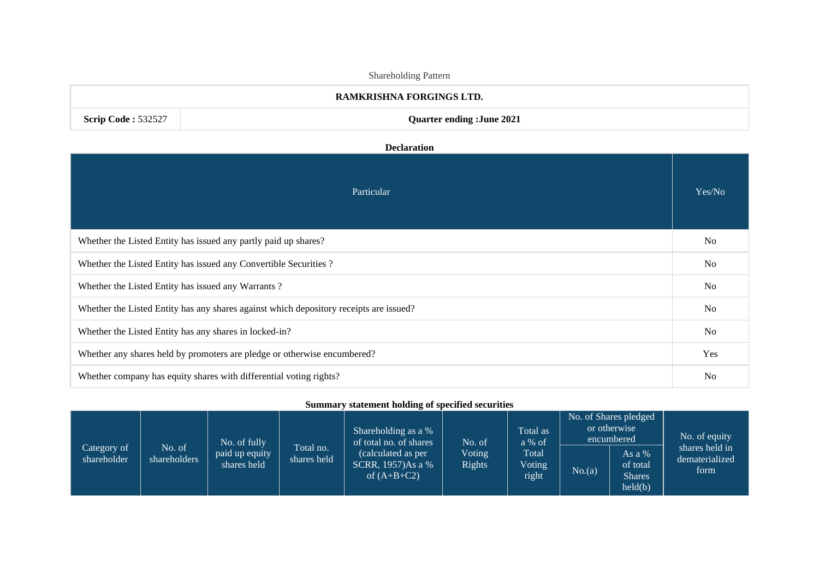| Shareholding Pattern                                                     |                                                                                        |                |  |  |  |  |
|--------------------------------------------------------------------------|----------------------------------------------------------------------------------------|----------------|--|--|--|--|
| RAMKRISHNA FORGINGS LTD.                                                 |                                                                                        |                |  |  |  |  |
| <b>Scrip Code: 532527</b>                                                | <b>Quarter ending :June 2021</b>                                                       |                |  |  |  |  |
|                                                                          | <b>Declaration</b>                                                                     |                |  |  |  |  |
|                                                                          |                                                                                        |                |  |  |  |  |
|                                                                          | Particular                                                                             | Yes/No         |  |  |  |  |
|                                                                          |                                                                                        |                |  |  |  |  |
| Whether the Listed Entity has issued any partly paid up shares?          |                                                                                        |                |  |  |  |  |
|                                                                          | Whether the Listed Entity has issued any Convertible Securities?                       | N <sub>o</sub> |  |  |  |  |
|                                                                          | Whether the Listed Entity has issued any Warrants?                                     | N <sub>o</sub> |  |  |  |  |
|                                                                          | Whether the Listed Entity has any shares against which depository receipts are issued? | N <sub>o</sub> |  |  |  |  |
| Whether the Listed Entity has any shares in locked-in?                   |                                                                                        |                |  |  |  |  |
| Whether any shares held by promoters are pledge or otherwise encumbered? |                                                                                        |                |  |  |  |  |
|                                                                          |                                                                                        | Yes            |  |  |  |  |

# **Summary statement holding of specified securities**

|                            |                        | No. of fully                  |                          | Shareholding as a %<br>of total no. of shares           | No. of                  | Total as<br>$a\%$ of            | No. of Shares pledged<br>or otherwise<br>encumbered |                                                | No. of equity                            |
|----------------------------|------------------------|-------------------------------|--------------------------|---------------------------------------------------------|-------------------------|---------------------------------|-----------------------------------------------------|------------------------------------------------|------------------------------------------|
| Category of<br>shareholder | No. of<br>shareholders | paid up equity<br>shares held | Total no.<br>shares held | calculated as per<br>SCRR, 1957)As a %<br>of $(A+B+C2)$ | Voting<br><b>Rights</b> | Total<br><b>Voting</b><br>right | No.(a)                                              | As a %<br>of total<br><b>Shares</b><br>held(b) | shares held in<br>dematerialized<br>form |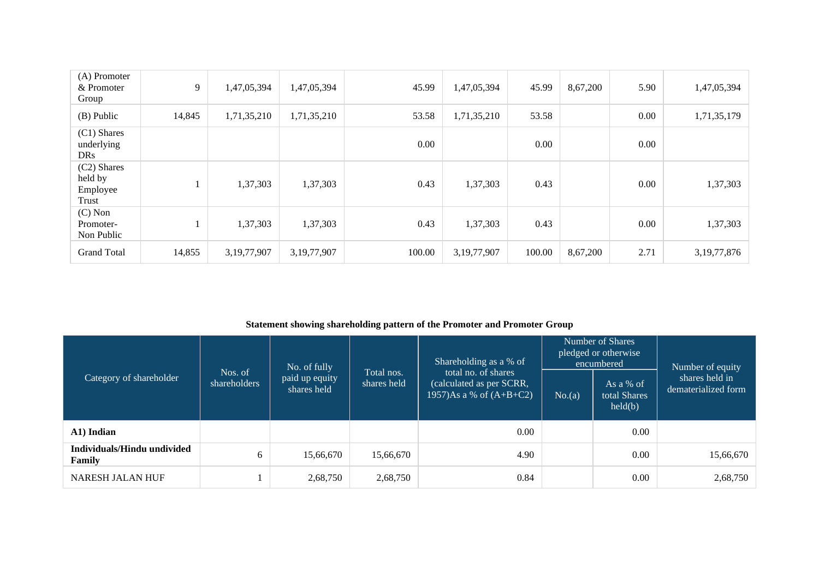| (A) Promoter<br>& Promoter<br>Group         | 9      | 1,47,05,394    | 1,47,05,394    | 45.99  | 1,47,05,394    | 45.99  | 8,67,200 | 5.90 | 1,47,05,394    |
|---------------------------------------------|--------|----------------|----------------|--------|----------------|--------|----------|------|----------------|
| $(B)$ Public                                | 14,845 | 1,71,35,210    | 1,71,35,210    | 53.58  | 1,71,35,210    | 53.58  |          | 0.00 | 1,71,35,179    |
| (C1) Shares<br>underlying<br><b>DRs</b>     |        |                |                | 0.00   |                | 0.00   |          | 0.00 |                |
| (C2) Shares<br>held by<br>Employee<br>Trust |        | 1,37,303       | 1,37,303       | 0.43   | 1,37,303       | 0.43   |          | 0.00 | 1,37,303       |
| $(C)$ Non<br>Promoter-<br>Non Public        |        | 1,37,303       | 1,37,303       | 0.43   | 1,37,303       | 0.43   |          | 0.00 | 1,37,303       |
| <b>Grand Total</b>                          | 14,855 | 3, 19, 77, 907 | 3, 19, 77, 907 | 100.00 | 3, 19, 77, 907 | 100.00 | 8,67,200 | 2.71 | 3, 19, 77, 876 |

### **Statement showing shareholding pattern of the Promoter and Promoter Group**

| Category of shareholder               | Nos. of<br>shareholders | No. of fully<br>paid up equity<br>shares held | Total nos.<br>shares held | Shareholding as a % of<br>total no. of shares<br>(calculated as per $SCRR$ ,<br>1957)As a % of $(A+B+C2)$ | No(a) | Number of Shares<br>pledged or otherwise<br>encumbered<br>As a % of<br>total Shares<br>held(b) | Number of equity<br>shares held in<br>dematerialized form |
|---------------------------------------|-------------------------|-----------------------------------------------|---------------------------|-----------------------------------------------------------------------------------------------------------|-------|------------------------------------------------------------------------------------------------|-----------------------------------------------------------|
| A1) Indian                            |                         |                                               |                           | 0.00                                                                                                      |       | 0.00                                                                                           |                                                           |
| Individuals/Hindu undivided<br>Family | 6                       | 15,66,670                                     | 15,66,670                 | 4.90                                                                                                      |       | 0.00                                                                                           | 15,66,670                                                 |
| <b>NARESH JALAN HUF</b>               |                         | 2,68,750                                      | 2,68,750                  | 0.84                                                                                                      |       | 0.00                                                                                           | 2,68,750                                                  |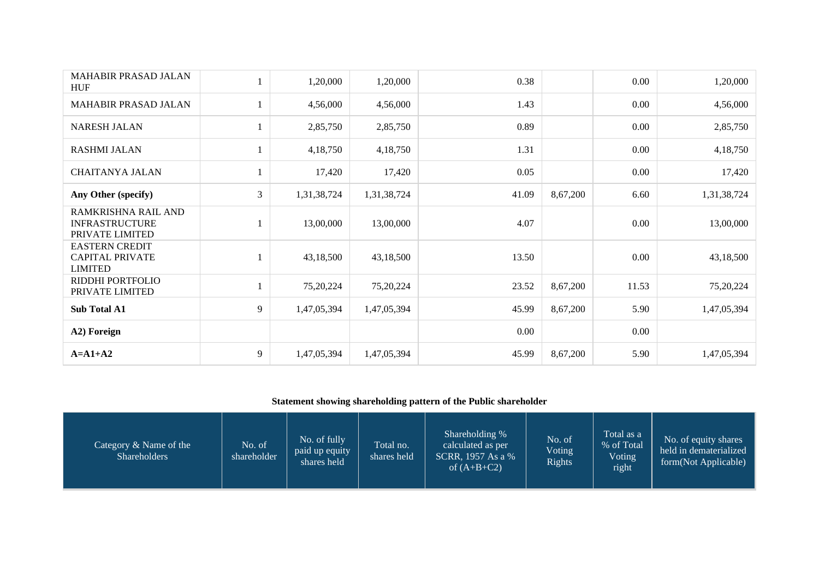| <b>MAHABIR PRASAD JALAN</b><br><b>HUF</b>                         |                | 1,20,000    | 1,20,000    | 0.38  |          | 0.00     | 1,20,000    |
|-------------------------------------------------------------------|----------------|-------------|-------------|-------|----------|----------|-------------|
| <b>MAHABIR PRASAD JALAN</b>                                       |                | 4,56,000    | 4,56,000    | 1.43  |          | 0.00     | 4,56,000    |
| <b>NARESH JALAN</b>                                               |                | 2,85,750    | 2,85,750    | 0.89  |          | $0.00\,$ | 2,85,750    |
| <b>RASHMI JALAN</b>                                               |                | 4,18,750    | 4,18,750    | 1.31  |          | 0.00     | 4,18,750    |
| <b>CHAITANYA JALAN</b>                                            |                | 17,420      | 17,420      | 0.05  |          | 0.00     | 17,420      |
| Any Other (specify)                                               | $\mathfrak{Z}$ | 1,31,38,724 | 1,31,38,724 | 41.09 | 8,67,200 | 6.60     | 1,31,38,724 |
| RAMKRISHNA RAIL AND<br><b>INFRASTRUCTURE</b><br>PRIVATE LIMITED   |                | 13,00,000   | 13,00,000   | 4.07  |          | 0.00     | 13,00,000   |
| <b>EASTERN CREDIT</b><br><b>CAPITAL PRIVATE</b><br><b>LIMITED</b> |                | 43,18,500   | 43,18,500   | 13.50 |          | 0.00     | 43,18,500   |
| RIDDHI PORTFOLIO<br>PRIVATE LIMITED                               | 1              | 75,20,224   | 75,20,224   | 23.52 | 8,67,200 | 11.53    | 75,20,224   |
| Sub Total A1                                                      | 9              | 1,47,05,394 | 1,47,05,394 | 45.99 | 8,67,200 | 5.90     | 1,47,05,394 |
| A2) Foreign                                                       |                |             |             | 0.00  |          | 0.00     |             |
| $A=A1+A2$                                                         | 9              | 1,47,05,394 | 1,47,05,394 | 45.99 | 8,67,200 | 5.90     | 1,47,05,394 |

## **Statement showing shareholding pattern of the Public shareholder**

| Category $&$ Name of the<br><b>Shareholders</b> | No. of<br>shareholder | No. of fully<br>paid up equity<br>shares held | Total no.<br>shares held | Shareholding %<br>calculated as per<br>SCRR, 1957 As a %<br>of $(A+B+C2)$ | No. of<br><b>Voting</b><br><b>Rights</b> | Total as a<br>% of Total<br>Voting<br>right | No. of equity shares<br>held in dematerialized<br>form(Not Applicable) |
|-------------------------------------------------|-----------------------|-----------------------------------------------|--------------------------|---------------------------------------------------------------------------|------------------------------------------|---------------------------------------------|------------------------------------------------------------------------|
|-------------------------------------------------|-----------------------|-----------------------------------------------|--------------------------|---------------------------------------------------------------------------|------------------------------------------|---------------------------------------------|------------------------------------------------------------------------|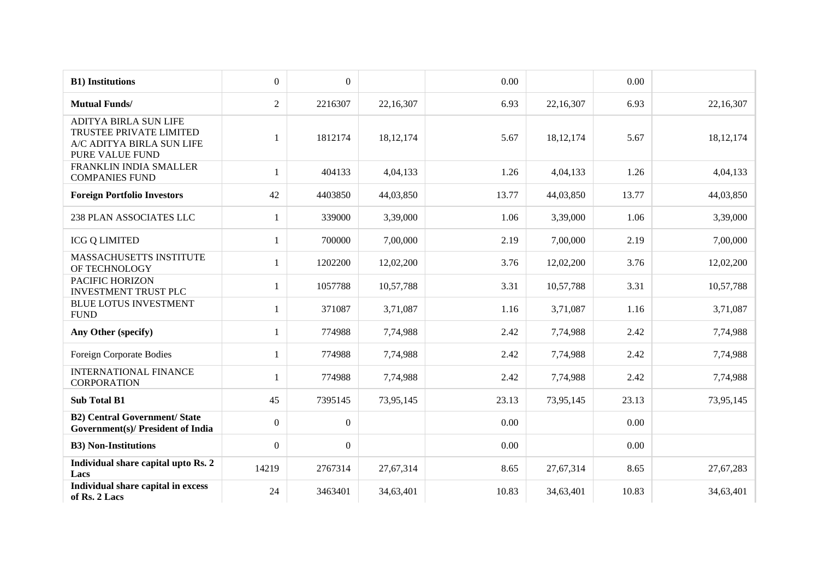| <b>B1)</b> Institutions                                                                                 | $\overline{0}$ | $\boldsymbol{0}$ |             | 0.00  |             | 0.00  |             |
|---------------------------------------------------------------------------------------------------------|----------------|------------------|-------------|-------|-------------|-------|-------------|
| <b>Mutual Funds/</b>                                                                                    | $\overline{2}$ | 2216307          | 22,16,307   | 6.93  | 22,16,307   | 6.93  | 22,16,307   |
| <b>ADITYA BIRLA SUN LIFE</b><br>TRUSTEE PRIVATE LIMITED<br>A/C ADITYA BIRLA SUN LIFE<br>PURE VALUE FUND | 1              | 1812174          | 18, 12, 174 | 5.67  | 18, 12, 174 | 5.67  | 18, 12, 174 |
| FRANKLIN INDIA SMALLER<br><b>COMPANIES FUND</b>                                                         | $\mathbf{1}$   | 404133           | 4,04,133    | 1.26  | 4,04,133    | 1.26  | 4,04,133    |
| <b>Foreign Portfolio Investors</b>                                                                      | 42             | 4403850          | 44,03,850   | 13.77 | 44,03,850   | 13.77 | 44,03,850   |
| <b>238 PLAN ASSOCIATES LLC</b>                                                                          |                | 339000           | 3,39,000    | 1.06  | 3,39,000    | 1.06  | 3,39,000    |
| <b>ICG Q LIMITED</b>                                                                                    | 1              | 700000           | 7,00,000    | 2.19  | 7,00,000    | 2.19  | 7,00,000    |
| MASSACHUSETTS INSTITUTE<br>OF TECHNOLOGY                                                                | 1              | 1202200          | 12,02,200   | 3.76  | 12,02,200   | 3.76  | 12,02,200   |
| PACIFIC HORIZON<br><b>INVESTMENT TRUST PLC</b>                                                          | 1              | 1057788          | 10,57,788   | 3.31  | 10,57,788   | 3.31  | 10,57,788   |
| <b>BLUE LOTUS INVESTMENT</b><br><b>FUND</b>                                                             | $\mathbf{1}$   | 371087           | 3,71,087    | 1.16  | 3,71,087    | 1.16  | 3,71,087    |
| Any Other (specify)                                                                                     | $\mathbf{1}$   | 774988           | 7,74,988    | 2.42  | 7,74,988    | 2.42  | 7,74,988    |
| Foreign Corporate Bodies                                                                                | 1              | 774988           | 7,74,988    | 2.42  | 7,74,988    | 2.42  | 7,74,988    |
| <b>INTERNATIONAL FINANCE</b><br><b>CORPORATION</b>                                                      | 1              | 774988           | 7,74,988    | 2.42  | 7,74,988    | 2.42  | 7,74,988    |
| <b>Sub Total B1</b>                                                                                     | 45             | 7395145          | 73,95,145   | 23.13 | 73,95,145   | 23.13 | 73,95,145   |
| <b>B2)</b> Central Government/ State<br><b>Government(s)/ President of India</b>                        | $\overline{0}$ | $\mathbf{0}$     |             | 0.00  |             | 0.00  |             |
| <b>B3)</b> Non-Institutions                                                                             | $\overline{0}$ | $\boldsymbol{0}$ |             | 0.00  |             | 0.00  |             |
| Individual share capital upto Rs. 2<br>Lacs                                                             | 14219          | 2767314          | 27,67,314   | 8.65  | 27,67,314   | 8.65  | 27,67,283   |
| Individual share capital in excess<br>of Rs. 2 Lacs                                                     | 24             | 3463401          | 34,63,401   | 10.83 | 34,63,401   | 10.83 | 34,63,401   |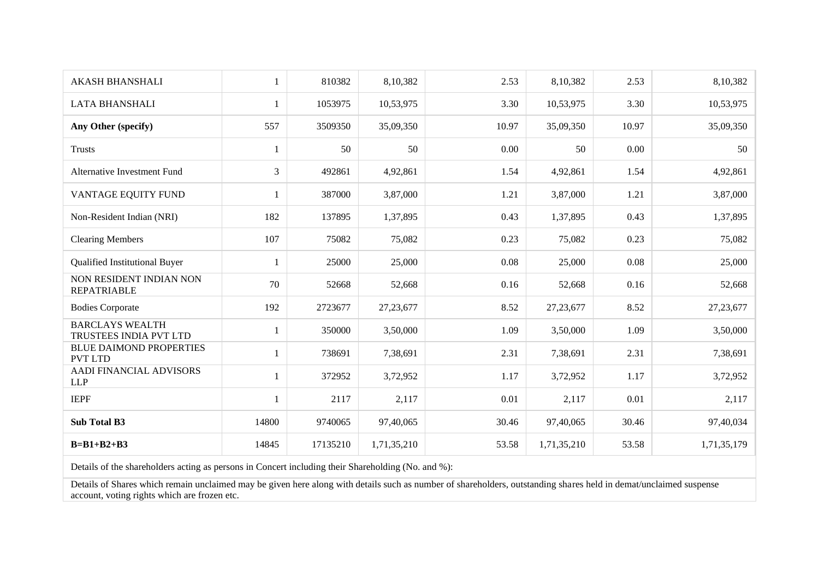| <b>AKASH BHANSHALI</b>                           | 1              | 810382   | 8,10,382    | 2.53  | 8,10,382    | 2.53     | 8,10,382    |
|--------------------------------------------------|----------------|----------|-------------|-------|-------------|----------|-------------|
| <b>LATA BHANSHALI</b>                            | 1              | 1053975  | 10,53,975   | 3.30  | 10,53,975   | 3.30     | 10,53,975   |
| Any Other (specify)                              | 557            | 3509350  | 35,09,350   | 10.97 | 35,09,350   | 10.97    | 35,09,350   |
| <b>Trusts</b>                                    | 1              | 50       | 50          | 0.00  | 50          | 0.00     | 50          |
| <b>Alternative Investment Fund</b>               | $\overline{3}$ | 492861   | 4,92,861    | 1.54  | 4,92,861    | 1.54     | 4,92,861    |
| VANTAGE EQUITY FUND                              | 1              | 387000   | 3,87,000    | 1.21  | 3,87,000    | 1.21     | 3,87,000    |
| Non-Resident Indian (NRI)                        | 182            | 137895   | 1,37,895    | 0.43  | 1,37,895    | 0.43     | 1,37,895    |
| <b>Clearing Members</b>                          | 107            | 75082    | 75,082      | 0.23  | 75,082      | 0.23     | 75,082      |
| Qualified Institutional Buyer                    | 1              | 25000    | 25,000      | 0.08  | 25,000      | 0.08     | 25,000      |
| NON RESIDENT INDIAN NON<br><b>REPATRIABLE</b>    | 70             | 52668    | 52,668      | 0.16  | 52,668      | 0.16     | 52,668      |
| <b>Bodies Corporate</b>                          | 192            | 2723677  | 27, 23, 677 | 8.52  | 27, 23, 677 | 8.52     | 27, 23, 677 |
| <b>BARCLAYS WEALTH</b><br>TRUSTEES INDIA PVT LTD | 1              | 350000   | 3,50,000    | 1.09  | 3,50,000    | 1.09     | 3,50,000    |
| <b>BLUE DAIMOND PROPERTIES</b><br><b>PVT LTD</b> |                | 738691   | 7,38,691    | 2.31  | 7,38,691    | 2.31     | 7,38,691    |
| AADI FINANCIAL ADVISORS<br><b>LLP</b>            | 1              | 372952   | 3,72,952    | 1.17  | 3,72,952    | 1.17     | 3,72,952    |
| <b>IEPF</b>                                      | 1              | 2117     | 2,117       | 0.01  | 2,117       | $0.01\,$ | 2,117       |
| <b>Sub Total B3</b>                              | 14800          | 9740065  | 97,40,065   | 30.46 | 97,40,065   | 30.46    | 97,40,034   |
| $B=B1+B2+B3$                                     | 14845          | 17135210 | 1,71,35,210 | 53.58 | 1,71,35,210 | 53.58    | 1,71,35,179 |

Details of the shareholders acting as persons in Concert including their Shareholding (No. and %):

Details of Shares which remain unclaimed may be given here along with details such as number of shareholders, outstanding shares held in demat/unclaimed suspense account, voting rights which are frozen etc.